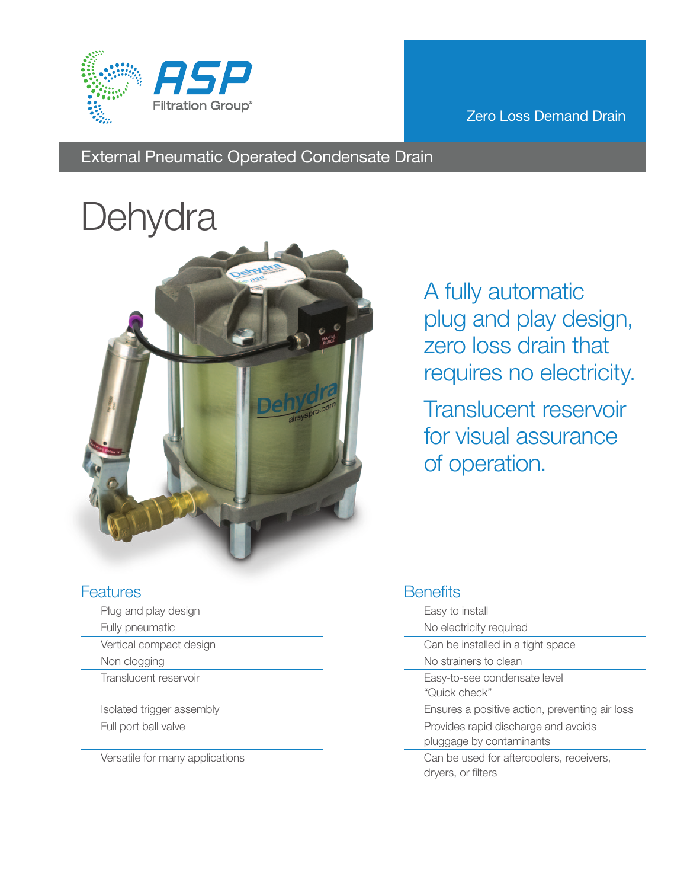

#### Zero Loss Demand Drain

# External Pneumatic Operated Condensate Drain

# **Dehydra**



A fully automatic plug and play design, zero loss drain that requires no electricity.

Translucent reservoir for visual assurance of operation.

#### **Features**

- Plug and play design
- Fully pneumatic
- Vertical compact design
- Non clogging
	- Translucent reservoir
- Isolated trigger assembly
- Full port ball valve

Versatile for many applications

# **Benefits**